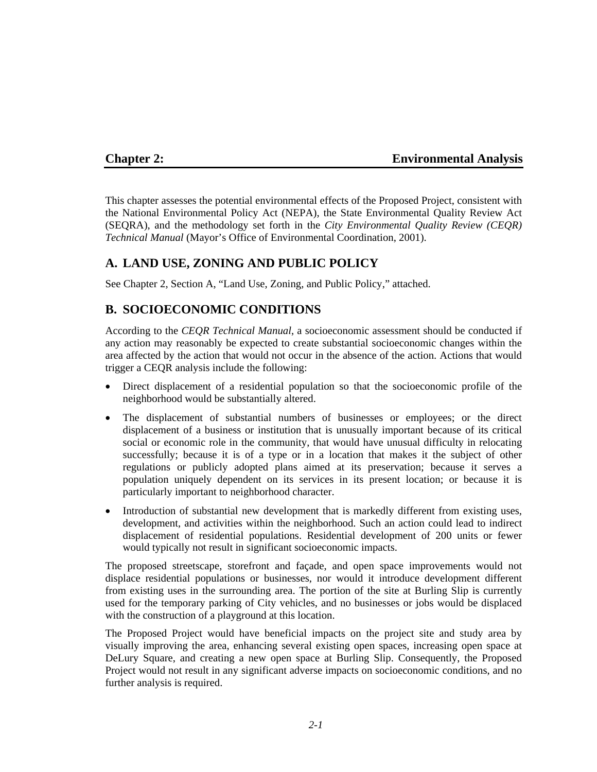#### **Chapter 2: Environmental Analysis**

This chapter assesses the potential environmental effects of the Proposed Project, consistent with the National Environmental Policy Act (NEPA), the State Environmental Quality Review Act (SEQRA), and the methodology set forth in the *City Environmental Quality Review (CEQR) Technical Manual* (Mayor's Office of Environmental Coordination, 2001).

#### **A. LAND USE, ZONING AND PUBLIC POLICY**

See Chapter 2, Section A, "Land Use, Zoning, and Public Policy," attached.

#### **B. SOCIOECONOMIC CONDITIONS**

According to the *CEQR Technical Manual*, a socioeconomic assessment should be conducted if any action may reasonably be expected to create substantial socioeconomic changes within the area affected by the action that would not occur in the absence of the action. Actions that would trigger a CEQR analysis include the following:

- Direct displacement of a residential population so that the socioeconomic profile of the neighborhood would be substantially altered.
- The displacement of substantial numbers of businesses or employees; or the direct displacement of a business or institution that is unusually important because of its critical social or economic role in the community, that would have unusual difficulty in relocating successfully; because it is of a type or in a location that makes it the subject of other regulations or publicly adopted plans aimed at its preservation; because it serves a population uniquely dependent on its services in its present location; or because it is particularly important to neighborhood character.
- Introduction of substantial new development that is markedly different from existing uses, development, and activities within the neighborhood. Such an action could lead to indirect displacement of residential populations. Residential development of 200 units or fewer would typically not result in significant socioeconomic impacts.

The proposed streetscape, storefront and façade, and open space improvements would not displace residential populations or businesses, nor would it introduce development different from existing uses in the surrounding area. The portion of the site at Burling Slip is currently used for the temporary parking of City vehicles, and no businesses or jobs would be displaced with the construction of a playground at this location.

The Proposed Project would have beneficial impacts on the project site and study area by visually improving the area, enhancing several existing open spaces, increasing open space at DeLury Square, and creating a new open space at Burling Slip. Consequently, the Proposed Project would not result in any significant adverse impacts on socioeconomic conditions, and no further analysis is required.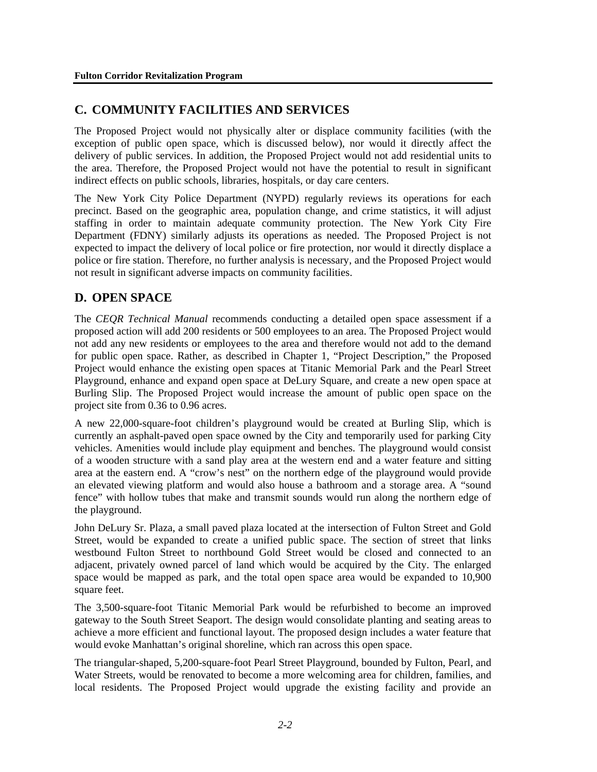# **C. COMMUNITY FACILITIES AND SERVICES**

The Proposed Project would not physically alter or displace community facilities (with the exception of public open space, which is discussed below), nor would it directly affect the delivery of public services. In addition, the Proposed Project would not add residential units to the area. Therefore, the Proposed Project would not have the potential to result in significant indirect effects on public schools, libraries, hospitals, or day care centers.

The New York City Police Department (NYPD) regularly reviews its operations for each precinct. Based on the geographic area, population change, and crime statistics, it will adjust staffing in order to maintain adequate community protection. The New York City Fire Department (FDNY) similarly adjusts its operations as needed. The Proposed Project is not expected to impact the delivery of local police or fire protection, nor would it directly displace a police or fire station. Therefore, no further analysis is necessary, and the Proposed Project would not result in significant adverse impacts on community facilities.

# **D. OPEN SPACE**

The *CEQR Technical Manual* recommends conducting a detailed open space assessment if a proposed action will add 200 residents or 500 employees to an area. The Proposed Project would not add any new residents or employees to the area and therefore would not add to the demand for public open space. Rather, as described in Chapter 1, "Project Description," the Proposed Project would enhance the existing open spaces at Titanic Memorial Park and the Pearl Street Playground, enhance and expand open space at DeLury Square, and create a new open space at Burling Slip. The Proposed Project would increase the amount of public open space on the project site from 0.36 to 0.96 acres.

A new 22,000-square-foot children's playground would be created at Burling Slip, which is currently an asphalt-paved open space owned by the City and temporarily used for parking City vehicles. Amenities would include play equipment and benches. The playground would consist of a wooden structure with a sand play area at the western end and a water feature and sitting area at the eastern end. A "crow's nest" on the northern edge of the playground would provide an elevated viewing platform and would also house a bathroom and a storage area. A "sound fence" with hollow tubes that make and transmit sounds would run along the northern edge of the playground.

John DeLury Sr. Plaza, a small paved plaza located at the intersection of Fulton Street and Gold Street, would be expanded to create a unified public space. The section of street that links westbound Fulton Street to northbound Gold Street would be closed and connected to an adjacent, privately owned parcel of land which would be acquired by the City. The enlarged space would be mapped as park, and the total open space area would be expanded to 10,900 square feet.

The 3,500-square-foot Titanic Memorial Park would be refurbished to become an improved gateway to the South Street Seaport. The design would consolidate planting and seating areas to achieve a more efficient and functional layout. The proposed design includes a water feature that would evoke Manhattan's original shoreline, which ran across this open space.

The triangular-shaped, 5,200-square-foot Pearl Street Playground, bounded by Fulton, Pearl, and Water Streets, would be renovated to become a more welcoming area for children, families, and local residents. The Proposed Project would upgrade the existing facility and provide an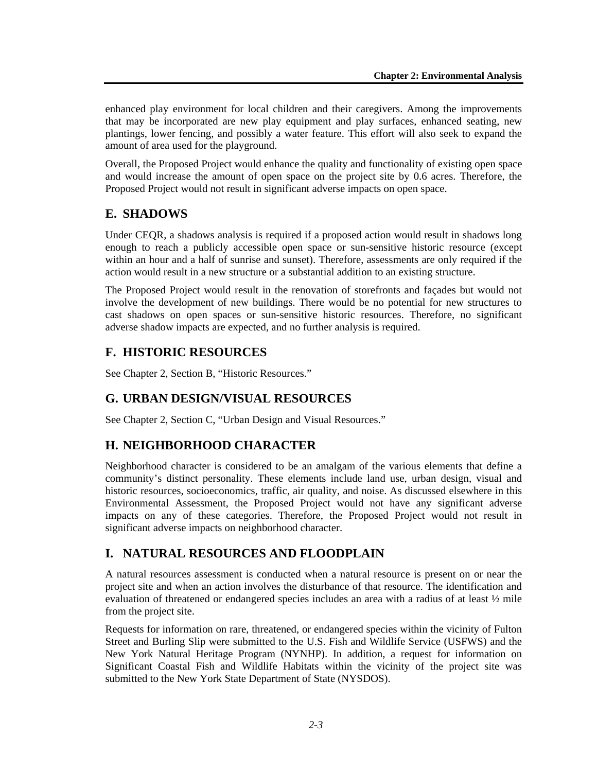enhanced play environment for local children and their caregivers. Among the improvements that may be incorporated are new play equipment and play surfaces, enhanced seating, new plantings, lower fencing, and possibly a water feature. This effort will also seek to expand the amount of area used for the playground.

Overall, the Proposed Project would enhance the quality and functionality of existing open space and would increase the amount of open space on the project site by 0.6 acres. Therefore, the Proposed Project would not result in significant adverse impacts on open space.

# **E. SHADOWS**

Under CEQR, a shadows analysis is required if a proposed action would result in shadows long enough to reach a publicly accessible open space or sun-sensitive historic resource (except within an hour and a half of sunrise and sunset). Therefore, assessments are only required if the action would result in a new structure or a substantial addition to an existing structure.

The Proposed Project would result in the renovation of storefronts and façades but would not involve the development of new buildings. There would be no potential for new structures to cast shadows on open spaces or sun-sensitive historic resources. Therefore, no significant adverse shadow impacts are expected, and no further analysis is required.

# **F. HISTORIC RESOURCES**

See Chapter 2, Section B, "Historic Resources."

#### **G. URBAN DESIGN/VISUAL RESOURCES**

See Chapter 2, Section C, "Urban Design and Visual Resources."

# **H. NEIGHBORHOOD CHARACTER**

Neighborhood character is considered to be an amalgam of the various elements that define a community's distinct personality. These elements include land use, urban design, visual and historic resources, socioeconomics, traffic, air quality, and noise. As discussed elsewhere in this Environmental Assessment, the Proposed Project would not have any significant adverse impacts on any of these categories. Therefore, the Proposed Project would not result in significant adverse impacts on neighborhood character.

# **I. NATURAL RESOURCES AND FLOODPLAIN**

A natural resources assessment is conducted when a natural resource is present on or near the project site and when an action involves the disturbance of that resource. The identification and evaluation of threatened or endangered species includes an area with a radius of at least ½ mile from the project site.

Requests for information on rare, threatened, or endangered species within the vicinity of Fulton Street and Burling Slip were submitted to the U.S. Fish and Wildlife Service (USFWS) and the New York Natural Heritage Program (NYNHP). In addition, a request for information on Significant Coastal Fish and Wildlife Habitats within the vicinity of the project site was submitted to the New York State Department of State (NYSDOS).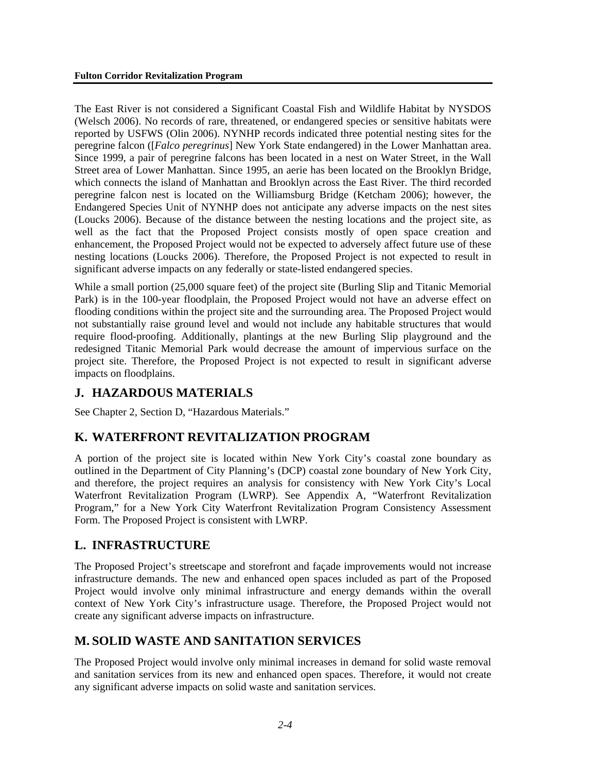The East River is not considered a Significant Coastal Fish and Wildlife Habitat by NYSDOS (Welsch 2006). No records of rare, threatened, or endangered species or sensitive habitats were reported by USFWS (Olin 2006). NYNHP records indicated three potential nesting sites for the peregrine falcon ([*Falco peregrinus*] New York State endangered) in the Lower Manhattan area. Since 1999, a pair of peregrine falcons has been located in a nest on Water Street, in the Wall Street area of Lower Manhattan. Since 1995, an aerie has been located on the Brooklyn Bridge, which connects the island of Manhattan and Brooklyn across the East River. The third recorded peregrine falcon nest is located on the Williamsburg Bridge (Ketcham 2006); however, the Endangered Species Unit of NYNHP does not anticipate any adverse impacts on the nest sites (Loucks 2006). Because of the distance between the nesting locations and the project site, as well as the fact that the Proposed Project consists mostly of open space creation and enhancement, the Proposed Project would not be expected to adversely affect future use of these nesting locations (Loucks 2006). Therefore, the Proposed Project is not expected to result in significant adverse impacts on any federally or state-listed endangered species.

While a small portion (25,000 square feet) of the project site (Burling Slip and Titanic Memorial Park) is in the 100-year floodplain, the Proposed Project would not have an adverse effect on flooding conditions within the project site and the surrounding area. The Proposed Project would not substantially raise ground level and would not include any habitable structures that would require flood-proofing. Additionally, plantings at the new Burling Slip playground and the redesigned Titanic Memorial Park would decrease the amount of impervious surface on the project site. Therefore, the Proposed Project is not expected to result in significant adverse impacts on floodplains.

#### **J. HAZARDOUS MATERIALS**

See Chapter 2, Section D, "Hazardous Materials."

# **K. WATERFRONT REVITALIZATION PROGRAM**

A portion of the project site is located within New York City's coastal zone boundary as outlined in the Department of City Planning's (DCP) coastal zone boundary of New York City, and therefore, the project requires an analysis for consistency with New York City's Local Waterfront Revitalization Program (LWRP). See Appendix A, "Waterfront Revitalization Program," for a New York City Waterfront Revitalization Program Consistency Assessment Form. The Proposed Project is consistent with LWRP.

# **L. INFRASTRUCTURE**

The Proposed Project's streetscape and storefront and façade improvements would not increase infrastructure demands. The new and enhanced open spaces included as part of the Proposed Project would involve only minimal infrastructure and energy demands within the overall context of New York City's infrastructure usage. Therefore, the Proposed Project would not create any significant adverse impacts on infrastructure.

# **M. SOLID WASTE AND SANITATION SERVICES**

The Proposed Project would involve only minimal increases in demand for solid waste removal and sanitation services from its new and enhanced open spaces. Therefore, it would not create any significant adverse impacts on solid waste and sanitation services.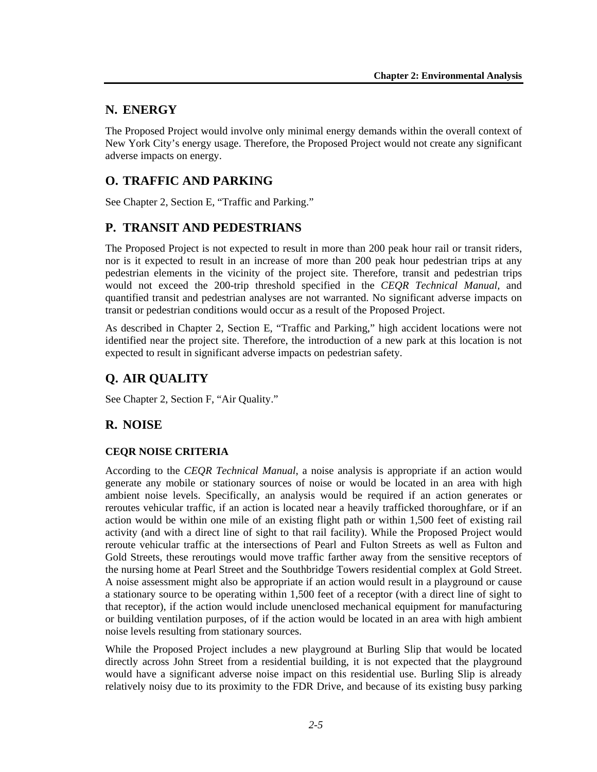#### **N. ENERGY**

The Proposed Project would involve only minimal energy demands within the overall context of New York City's energy usage. Therefore, the Proposed Project would not create any significant adverse impacts on energy.

# **O. TRAFFIC AND PARKING**

See Chapter 2, Section E, "Traffic and Parking."

#### **P. TRANSIT AND PEDESTRIANS**

The Proposed Project is not expected to result in more than 200 peak hour rail or transit riders, nor is it expected to result in an increase of more than 200 peak hour pedestrian trips at any pedestrian elements in the vicinity of the project site. Therefore, transit and pedestrian trips would not exceed the 200-trip threshold specified in the *CEQR Technical Manual,* and quantified transit and pedestrian analyses are not warranted. No significant adverse impacts on transit or pedestrian conditions would occur as a result of the Proposed Project.

As described in Chapter 2, Section E, "Traffic and Parking," high accident locations were not identified near the project site. Therefore, the introduction of a new park at this location is not expected to result in significant adverse impacts on pedestrian safety.

# **Q. AIR QUALITY**

See Chapter 2, Section F, "Air Quality."

# **R. NOISE**

#### **CEQR NOISE CRITERIA**

According to the *CEQR Technical Manual*, a noise analysis is appropriate if an action would generate any mobile or stationary sources of noise or would be located in an area with high ambient noise levels. Specifically, an analysis would be required if an action generates or reroutes vehicular traffic, if an action is located near a heavily trafficked thoroughfare, or if an action would be within one mile of an existing flight path or within 1,500 feet of existing rail activity (and with a direct line of sight to that rail facility). While the Proposed Project would reroute vehicular traffic at the intersections of Pearl and Fulton Streets as well as Fulton and Gold Streets, these reroutings would move traffic farther away from the sensitive receptors of the nursing home at Pearl Street and the Southbridge Towers residential complex at Gold Street. A noise assessment might also be appropriate if an action would result in a playground or cause a stationary source to be operating within 1,500 feet of a receptor (with a direct line of sight to that receptor), if the action would include unenclosed mechanical equipment for manufacturing or building ventilation purposes, of if the action would be located in an area with high ambient noise levels resulting from stationary sources.

While the Proposed Project includes a new playground at Burling Slip that would be located directly across John Street from a residential building, it is not expected that the playground would have a significant adverse noise impact on this residential use. Burling Slip is already relatively noisy due to its proximity to the FDR Drive, and because of its existing busy parking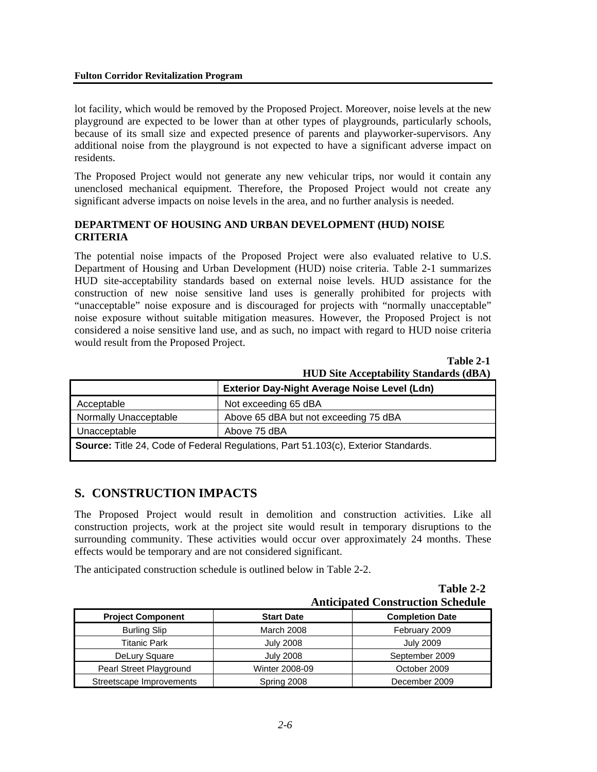#### **Fulton Corridor Revitalization Program**

lot facility, which would be removed by the Proposed Project. Moreover, noise levels at the new playground are expected to be lower than at other types of playgrounds, particularly schools, because of its small size and expected presence of parents and playworker-supervisors. Any additional noise from the playground is not expected to have a significant adverse impact on residents.

The Proposed Project would not generate any new vehicular trips, nor would it contain any unenclosed mechanical equipment. Therefore, the Proposed Project would not create any significant adverse impacts on noise levels in the area, and no further analysis is needed.

#### **DEPARTMENT OF HOUSING AND URBAN DEVELOPMENT (HUD) NOISE CRITERIA**

The potential noise impacts of the Proposed Project were also evaluated relative to U.S. Department of Housing and Urban Development (HUD) noise criteria. Table 2-1 summarizes HUD site-acceptability standards based on external noise levels. HUD assistance for the construction of new noise sensitive land uses is generally prohibited for projects with "unacceptable" noise exposure and is discouraged for projects with "normally unacceptable" noise exposure without suitable mitigation measures. However, the Proposed Project is not considered a noise sensitive land use, and as such, no impact with regard to HUD noise criteria would result from the Proposed Project.

**Table 2-1 HUD Site Acceptability Standards (dBA)**

|                                                                                           | <b>Exterior Day-Night Average Noise Level (Ldn)</b> |  |
|-------------------------------------------------------------------------------------------|-----------------------------------------------------|--|
| Acceptable                                                                                | Not exceeding 65 dBA                                |  |
| Normally Unacceptable                                                                     | Above 65 dBA but not exceeding 75 dBA               |  |
| Unacceptable                                                                              | Above 75 dBA                                        |  |
| <b>Source:</b> Title 24, Code of Federal Regulations, Part 51.103(c), Exterior Standards. |                                                     |  |

#### **S. CONSTRUCTION IMPACTS**

The Proposed Project would result in demolition and construction activities. Like all construction projects, work at the project site would result in temporary disruptions to the surrounding community. These activities would occur over approximately 24 months. These effects would be temporary and are not considered significant.

The anticipated construction schedule is outlined below in Table 2-2.

| Table 2-2                                |  |
|------------------------------------------|--|
| <b>Anticipated Construction Schedule</b> |  |

| Anticipated Construction Schedule |                   |                        |
|-----------------------------------|-------------------|------------------------|
| <b>Project Component</b>          | <b>Start Date</b> | <b>Completion Date</b> |
| <b>Burling Slip</b>               | <b>March 2008</b> | February 2009          |
| Titanic Park                      | <b>July 2008</b>  | <b>July 2009</b>       |
| DeLury Square                     | <b>July 2008</b>  | September 2009         |
| Pearl Street Playground           | Winter 2008-09    | October 2009           |
| Streetscape Improvements          | Spring 2008       | December 2009          |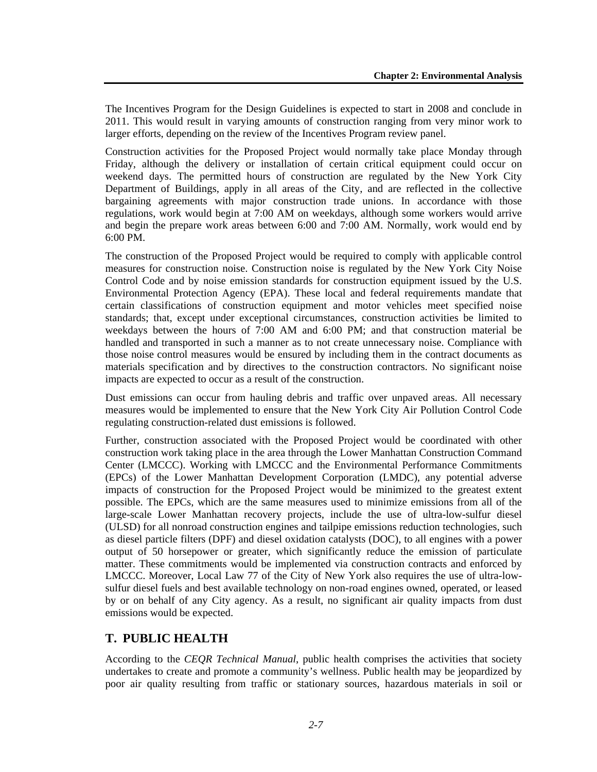The Incentives Program for the Design Guidelines is expected to start in 2008 and conclude in 2011. This would result in varying amounts of construction ranging from very minor work to larger efforts, depending on the review of the Incentives Program review panel.

Construction activities for the Proposed Project would normally take place Monday through Friday, although the delivery or installation of certain critical equipment could occur on weekend days. The permitted hours of construction are regulated by the New York City Department of Buildings, apply in all areas of the City, and are reflected in the collective bargaining agreements with major construction trade unions. In accordance with those regulations, work would begin at 7:00 AM on weekdays, although some workers would arrive and begin the prepare work areas between 6:00 and 7:00 AM. Normally, work would end by 6:00 PM.

The construction of the Proposed Project would be required to comply with applicable control measures for construction noise. Construction noise is regulated by the New York City Noise Control Code and by noise emission standards for construction equipment issued by the U.S. Environmental Protection Agency (EPA). These local and federal requirements mandate that certain classifications of construction equipment and motor vehicles meet specified noise standards; that, except under exceptional circumstances, construction activities be limited to weekdays between the hours of 7:00 AM and 6:00 PM; and that construction material be handled and transported in such a manner as to not create unnecessary noise. Compliance with those noise control measures would be ensured by including them in the contract documents as materials specification and by directives to the construction contractors. No significant noise impacts are expected to occur as a result of the construction.

Dust emissions can occur from hauling debris and traffic over unpaved areas. All necessary measures would be implemented to ensure that the New York City Air Pollution Control Code regulating construction-related dust emissions is followed.

Further, construction associated with the Proposed Project would be coordinated with other construction work taking place in the area through the Lower Manhattan Construction Command Center (LMCCC). Working with LMCCC and the Environmental Performance Commitments (EPCs) of the Lower Manhattan Development Corporation (LMDC), any potential adverse impacts of construction for the Proposed Project would be minimized to the greatest extent possible. The EPCs, which are the same measures used to minimize emissions from all of the large-scale Lower Manhattan recovery projects, include the use of ultra-low-sulfur diesel (ULSD) for all nonroad construction engines and tailpipe emissions reduction technologies, such as diesel particle filters (DPF) and diesel oxidation catalysts (DOC), to all engines with a power output of 50 horsepower or greater, which significantly reduce the emission of particulate matter. These commitments would be implemented via construction contracts and enforced by LMCCC. Moreover, Local Law 77 of the City of New York also requires the use of ultra-lowsulfur diesel fuels and best available technology on non-road engines owned, operated, or leased by or on behalf of any City agency. As a result, no significant air quality impacts from dust emissions would be expected.

# **T. PUBLIC HEALTH**

According to the *CEQR Technical Manual*, public health comprises the activities that society undertakes to create and promote a community's wellness. Public health may be jeopardized by poor air quality resulting from traffic or stationary sources, hazardous materials in soil or